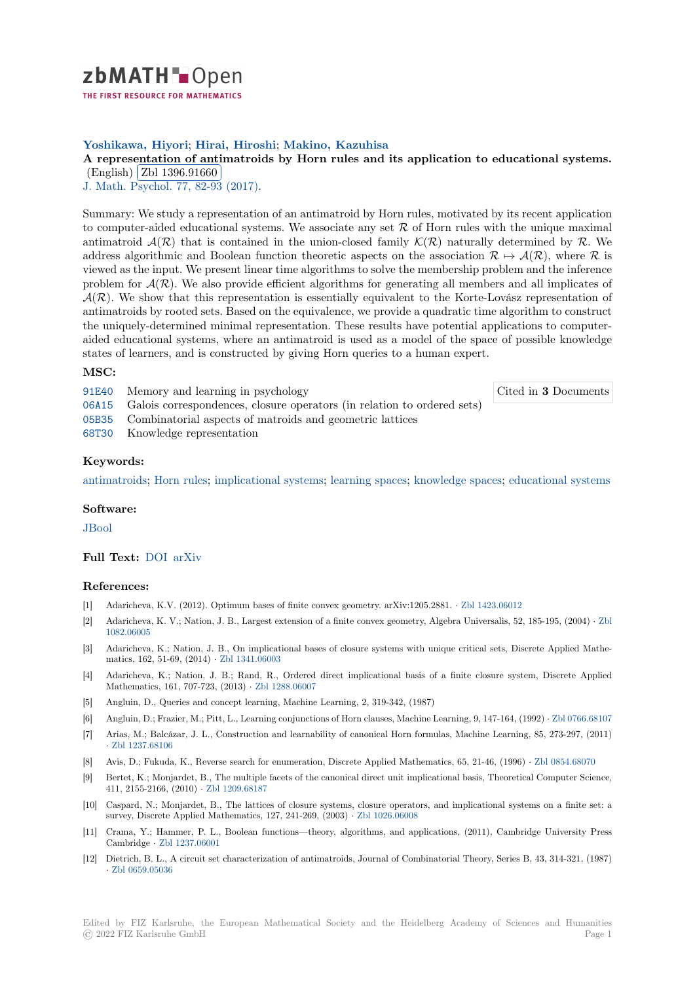

THE FIRST RESOURCE FOR MATHEMATICS

# **Yoshikawa, Hiyori**; **Hirai, Hiroshi**; **Makino, Kazuhisa**

[A](https://zbmath.org/) representation of antimatroids by Horn rules and its application to educational systems. (English) Zbl 1396.91660

✂ ✁ J. Math. Psychol. 77, 82-93 (2017).

[Summary: We study a representation of an antimatroid by Horn rules, motivated by its recent application](https://zbmath.org/1396.91660) to comput[er-aided education](https://zbmath.org/1396.91660)al systems. We associate any set *R* of Horn rules with the unique maximal [antimatroid](https://zbmath.org/journals/?q=se:505)  $\mathcal{A}(\mathcal{R})$  [that is containe](https://zbmath.org/?q=in:369904)d in the union-closed family  $\mathcal{K}(\mathcal{R})$  naturally determined by  $\mathcal{R}$ . We address algorithmic and Boolean function theoretic aspects on the association  $\mathcal{R} \mapsto \mathcal{A}(\mathcal{R})$ , where  $\mathcal{R}$  is viewed as the input. We present linear time algorithms to solve the membership problem and the inference problem for  $A(R)$ . We also provide efficient algorithms for generating all members and all implicates of  $\mathcal{A}(\mathcal{R})$ . We show that this representation is essentially equivalent to the Korte-Lovász representation of antimatroids by rooted sets. Based on the equivalence, we provide a quadratic time algorithm to construct the uniquely-determined minimal representation. These results have potential applications to computeraided educational systems, where an antimatroid is used as a model of the space of possible knowledge states of learners, and is constructed by giving Horn queries to a human expert.

## **MSC:**

91E40 Memory and learning in psychology

Cited in **3** Documents

- 06A15 Galois correspondences, closure operators (in relation to ordered sets)
- 05B35 Combinatorial aspects of matroids and geometric lattices
- 68T30 Knowledge representation

## **[Keyw](https://zbmath.org/classification/?q=cc:06A15)ords:**

[antima](https://zbmath.org/classification/?q=cc:05B35)troids; Horn rules; implicational systems; learning spaces; knowledge spaces; educational systems

#### **Software:**

[JBool](https://zbmath.org/?q=ut:antimatroids)

## **Full Text:** DOI arXiv

#### **[Refer](https://swmath.org/software/6185)ences:**

- [1] Adaricheva, K.V. (2012). Optimum bases of finite convex geometry. arXiv:1205.2881. *·* Zbl 1423.06012
- [2] Adariche[va, K.](https://dx.doi.org/10.1016/j.jmp.2016.09.002) [V.; Nati](https://arxiv.org/abs/1508.05465)on, J. B., Largest extension of a finite convex geometry, Algebra Universalis, 52, 185-195, (2004) *·* Zbl 1082.06005
- [3] Adaricheva, K.; Nation, J. B., On implicational bases of closure systems with unique critical sets, Discrete Applied Mathematics, 162, 51-69, (2014) *·* Zbl 1341.06003
- [4] Adaricheva, K.; Nation, J. B.; Rand, R., Ordered direct implicational basis of a finite closure system, Discrete App[lied](https://zbmath.org/1082.06005) [Mathemati](https://zbmath.org/1082.06005)cs, 161, 707-723, (2013) *·* Zbl 1288.06007
- [5] Angluin, D., Queries and concept learning, Machine Learning, 2, 319-342, (1987)
- [6] Angluin, D.; Frazier, M.; Pit[t, L., Learning c](https://zbmath.org/1341.06003)onjunctions of Horn clauses, Machine Learning, 9, 147-164, (1992) *·* Zbl 0766.68107
- [7] Arias, M.; Balcázar, J. L., Construc[tion and learnab](https://zbmath.org/1288.06007)ility of canonical Horn formulas, Machine Learning, 85, 273-297, (2011) *·* Zbl 1237.68106
- [8] Avis, D.; Fukuda, K., Reverse search for enumeration, Discrete Applied Mathematics, 65, 21-46, (1996) *·* Zbl 0854.68070
- [9] Bertet, K.; Monjardet, B., The multiple facets of the canonical direct unit implicational basis, Theoretical Co[mputer Science,](https://zbmath.org/0766.68107) 411, 2155-2166, (2010) *·* Zbl 1209.68187
- [10] [Caspard, N.; Mo](https://zbmath.org/1237.68106)njardet, B., The lattices of closure systems, closure operators, and implicational systems on a finite set: a survey, Discrete Applied Mathematics, 127, 241-269, (2003) *·* Zbl 1026.06008
- [11] Crama, Y.; Hammer, P. L., Boolean functions—theory, algorithms, and applications, (2011), Cambridge University Press Cambridge *·* Zbl 1237.06[001](https://zbmath.org/1209.68187)
- [12] Dietrich, B. L., A circuit set characterization of antimatroids, Journal of Combinatorial Theory, Series B, 43, 314-321, (1987) *·* Zbl 0659.05036